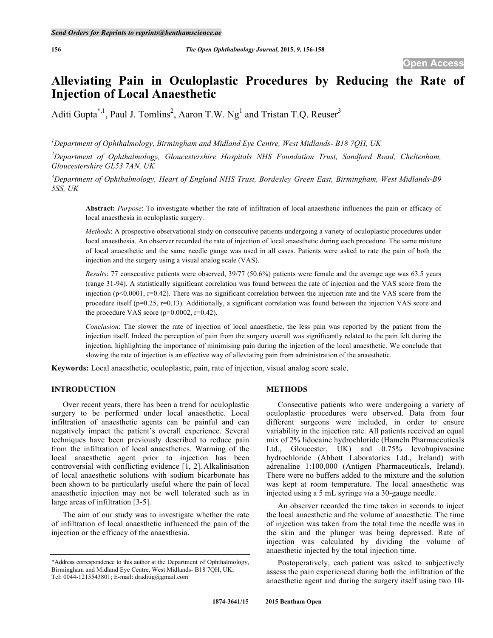# **Alleviating Pain in Oculoplastic Procedures by Reducing the Rate of Injection of Local Anaesthetic**

Aditi Gupta<sup>\*, 1</sup>, Paul J. Tomlins<sup>2</sup>, Aaron T.W. Ng<sup>1</sup> and Tristan T.Q. Reuser<sup>3</sup>

*1 Department of Ophthalmology, Birmingham and Midland Eye Centre, West Midlands- B18 7QH, UK*

*2 Department of Ophthalmology, Gloucestershire Hospitals NHS Foundation Trust, Sandford Road, Cheltenham, Gloucestershire GL53 7AN, UK*

*3 Department of Ophthalmology, Heart of England NHS Trust, Bordesley Green East, Birmingham, West Midlands-B9 5SS, UK*

**Abstract:** *Purpose*: To investigate whether the rate of infiltration of local anaesthetic influences the pain or efficacy of local anaesthesia in oculoplastic surgery.

*Methods*: A prospective observational study on consecutive patients undergoing a variety of oculoplastic procedures under local anaesthesia. An observer recorded the rate of injection of local anaesthetic during each procedure. The same mixture of local anaesthetic and the same needle gauge was used in all cases. Patients were asked to rate the pain of both the injection and the surgery using a visual analog scale (VAS).

*Results*: 77 consecutive patients were observed, 39/77 (50.6%) patients were female and the average age was 63.5 years (range 31-94). A statistically significant correlation was found between the rate of injection and the VAS score from the injection ( $p<0.0001$ ,  $r=0.42$ ). There was no significant correlation between the injection rate and the VAS score from the procedure itself ( $p=0.25$ ,  $r=0.13$ ). Additionally, a significant correlation was found between the injection VAS score and the procedure VAS score  $(p=0.0002, r=0.42)$ .

*Conclusion*: The slower the rate of injection of local anaesthetic, the less pain was reported by the patient from the injection itself. Indeed the perception of pain from the surgery overall was significantly related to the pain felt during the injection, highlighting the importance of minimising pain during the injection of the local anaesthetic. We conclude that slowing the rate of injection is an effective way of alleviating pain from administration of the anaesthetic.

**Keywords:** Local anaesthetic, oculoplastic, pain, rate of injection, visual analog score scale.

# **INTRODUCTION**

Over recent years, there has been a trend for oculoplastic surgery to be performed under local anaesthetic. Local infiltration of anaesthetic agents can be painful and can negatively impact the patient's overall experience. Several techniques have been previously described to reduce pain from the infiltration of local anaesthetics. Warming of the local anaesthetic agent prior to injection has been controversial with conflicting evidence [1, 2]. Alkalinisation of local anaesthetic solutions with sodium bicarbonate has been shown to be particularly useful where the pain of local anaesthetic injection may not be well tolerated such as in large areas of infiltration [3-5].

The aim of our study was to investigate whether the rate of infiltration of local anaesthetic influenced the pain of the injection or the efficacy of the anaesthesia.

# **METHODS**

Consecutive patients who were undergoing a variety of oculoplastic procedures were observed. Data from four different surgeons were included, in order to ensure variability in the injection rate. All patients received an equal mix of 2% lidocaine hydrochloride (Hameln Pharmaceuticals Ltd., Gloucester, UK) and 0.75% levobupivacaine hydrochloride (Abbott Laboratories Ltd., Ireland) with adrenaline 1:100,000 (Antigen Pharmaceuticals, Ireland). There were no buffers added to the mixture and the solution was kept at room temperature. The local anaesthetic was injected using a 5 mL syringe *via* a 30-gauge needle.

An observer recorded the time taken in seconds to inject the local anaesthetic and the volume of anaesthetic. The time of injection was taken from the total time the needle was in the skin and the plunger was being depressed. Rate of injection was calculated by dividing the volume of anaesthetic injected by the total injection time.

Postoperatively, each patient was asked to subjectively assess the pain experienced during both the infiltration of the anaesthetic agent and during the surgery itself using two 10-

<sup>\*</sup>Address correspondence to this author at the Department of Ophthalmology, Birmingham and Midland Eye Centre, West Midlands- B18 7QH, UK; Tel: 0044-1215543801; E-mail: draditig@gmail.com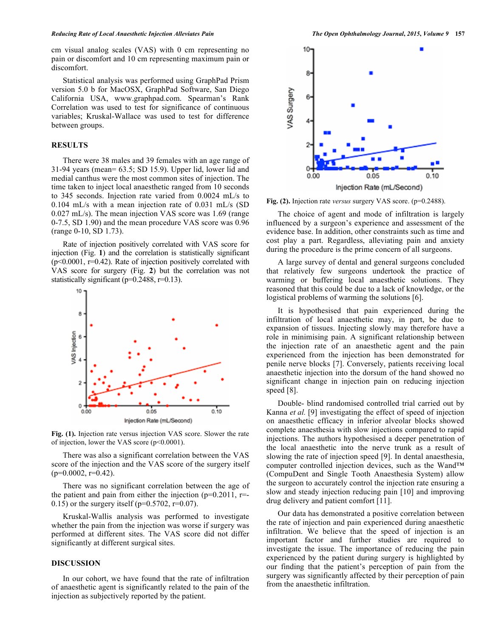cm visual analog scales (VAS) with 0 cm representing no pain or discomfort and 10 cm representing maximum pain or discomfort.

Statistical analysis was performed using GraphPad Prism version 5.0 b for MacOSX, GraphPad Software, San Diego California USA, www.graphpad.com. Spearman's Rank Correlation was used to test for significance of continuous variables; Kruskal-Wallace was used to test for difference between groups.

# **RESULTS**

There were 38 males and 39 females with an age range of 31-94 years (mean= 63.5; SD 15.9). Upper lid, lower lid and medial canthus were the most common sites of injection. The time taken to inject local anaesthetic ranged from 10 seconds to 345 seconds. Injection rate varied from 0.0024 mL/s to 0.104 mL/s with a mean injection rate of 0.031 mL/s (SD 0.027 mL/s). The mean injection VAS score was 1.69 (range 0-7.5, SD 1.90) and the mean procedure VAS score was 0.96 (range 0-10, SD 1.73).

Rate of injection positively correlated with VAS score for injection (Fig. **1**) and the correlation is statistically significant (p<0.0001, r=0.42). Rate of injection positively correlated with VAS score for surgery (Fig. **2**) but the correlation was not statistically significant (p=0.2488, r=0.13).



**Fig. (1).** Injection rate versus injection VAS score. Slower the rate of injection, lower the VAS score (p<0.0001).

There was also a significant correlation between the VAS score of the injection and the VAS score of the surgery itself  $(p=0.0002, r=0.42)$ .

There was no significant correlation between the age of the patient and pain from either the injection  $(p=0.2011, r=$ 0.15) or the surgery itself ( $p=0.5702$ ,  $r=0.07$ ).

Kruskal-Wallis analysis was performed to investigate whether the pain from the injection was worse if surgery was performed at different sites. The VAS score did not differ significantly at different surgical sites.

#### **DISCUSSION**

In our cohort, we have found that the rate of infiltration of anaesthetic agent is significantly related to the pain of the injection as subjectively reported by the patient.



**Fig. (2).** Injection rate *versus* surgery VAS score. (p=0.2488).

The choice of agent and mode of infiltration is largely influenced by a surgeon's experience and assessment of the evidence base. In addition, other constraints such as time and cost play a part. Regardless, alleviating pain and anxiety during the procedure is the prime concern of all surgeons.

A large survey of dental and general surgeons concluded that relatively few surgeons undertook the practice of warming or buffering local anaesthetic solutions. They reasoned that this could be due to a lack of knowledge, or the logistical problems of warming the solutions [6].

It is hypothesised that pain experienced during the infiltration of local anaesthetic may, in part, be due to expansion of tissues. Injecting slowly may therefore have a role in minimising pain. A significant relationship between the injection rate of an anaesthetic agent and the pain experienced from the injection has been demonstrated for penile nerve blocks [7]. Conversely, patients receiving local anaesthetic injection into the dorsum of the hand showed no significant change in injection pain on reducing injection speed [8].

Double- blind randomised controlled trial carried out by Kanna *et al.* [9] investigating the effect of speed of injection on anaesthetic efficacy in inferior alveolar blocks showed complete anaesthesia with slow injections compared to rapid injections. The authors hypothesised a deeper penetration of the local anaesthetic into the nerve trunk as a result of slowing the rate of injection speed [9]. In dental anaesthesia, computer controlled injection devices, such as the Wand™ (CompuDent and Single Tooth Anaesthesia System) allow the surgeon to accurately control the injection rate ensuring a slow and steady injection reducing pain [10] and improving drug delivery and patient comfort [11].

Our data has demonstrated a positive correlation between the rate of injection and pain experienced during anaesthetic infiltration. We believe that the speed of injection is an important factor and further studies are required to investigate the issue. The importance of reducing the pain experienced by the patient during surgery is highlighted by our finding that the patient's perception of pain from the surgery was significantly affected by their perception of pain from the anaesthetic infiltration.